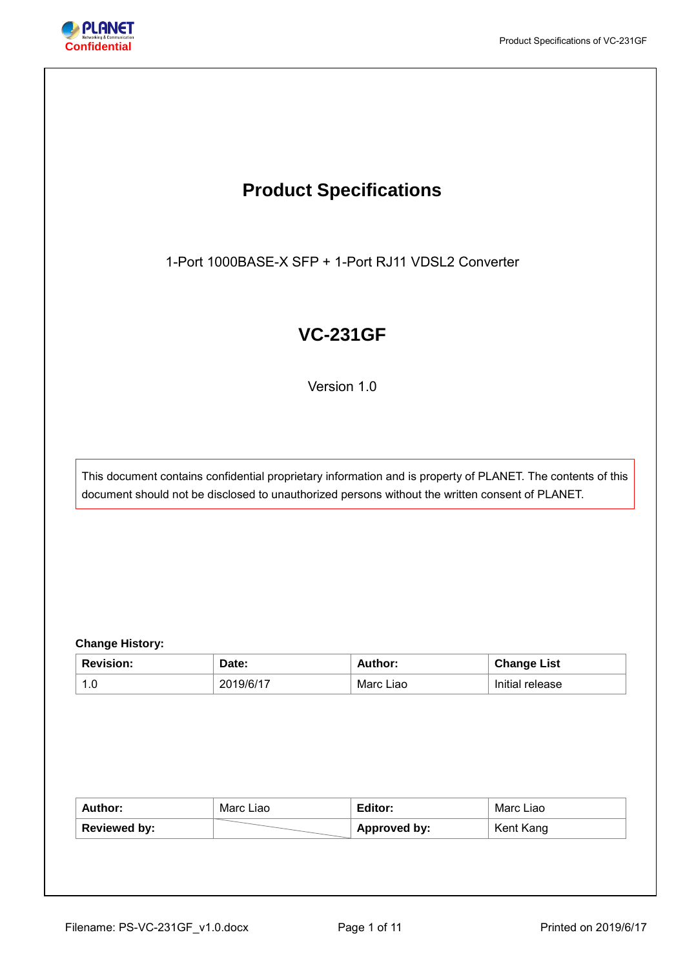

# **Product Specifications**

1-Port 1000BASE-X SFP + 1-Port RJ11 VDSL2 Converter

# **VC-231GF**

Version 1.0

This document contains confidential proprietary information and is property of PLANET. The contents of this document should not be disclosed to unauthorized persons without the written consent of PLANET.

# **Change History:**

| <b>Revision:</b> | Date:     | Author:   | <b>Change List</b> |
|------------------|-----------|-----------|--------------------|
| 1.C              | 2019/6/17 | Marc Liao | Initial release    |

| Author:             | Marc Liao | Editor:             | Marc Liao |
|---------------------|-----------|---------------------|-----------|
| <b>Reviewed by:</b> |           | <b>Approved by:</b> | Kent Kang |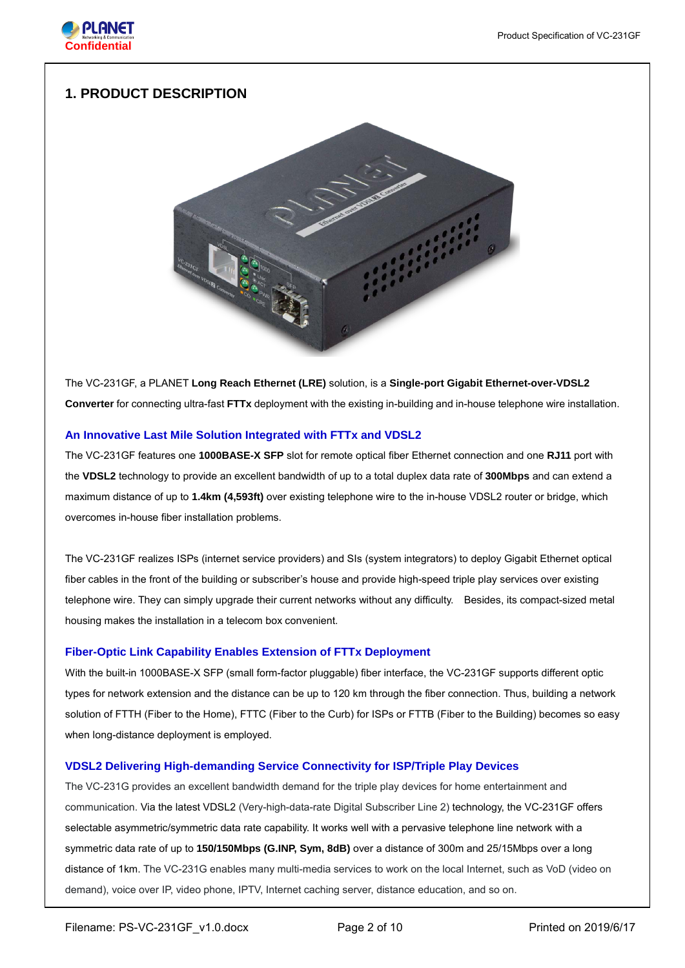

# **1. PRODUCT DESCRIPTION**



The VC-231GF, a PLANET **Long Reach Ethernet (LRE)** solution, is a **Single-port Gigabit Ethernet-over-VDSL2 Converter** for connecting ultra-fast **FTTx** deployment with the existing in-building and in-house telephone wire installation.

# **An Innovative Last Mile Solution Integrated with FTTx and VDSL2**

The VC-231GF features one **1000BASE-X SFP** slot for remote optical fiber Ethernet connection and one **RJ11** port with the **VDSL2** technology to provide an excellent bandwidth of up to a total duplex data rate of **300Mbps** and can extend a maximum distance of up to **1.4km (4,593ft)** over existing telephone wire to the in-house VDSL2 router or bridge, which overcomes in-house fiber installation problems.

The VC-231GF realizes ISPs (internet service providers) and SIs (system integrators) to deploy Gigabit Ethernet optical fiber cables in the front of the building or subscriber's house and provide high-speed triple play services over existing telephone wire. They can simply upgrade their current networks without any difficulty. Besides, its compact-sized metal housing makes the installation in a telecom box convenient.

# **Fiber-Optic Link Capability Enables Extension of FTTx Deployment**

With the built-in 1000BASE-X SFP (small form-factor pluggable) fiber interface, the VC-231GF supports different optic types for network extension and the distance can be up to 120 km through the fiber connection. Thus, building a network solution of FTTH (Fiber to the Home), FTTC (Fiber to the Curb) for ISPs or FTTB (Fiber to the Building) becomes so easy when long-distance deployment is employed.

# **VDSL2 Delivering High-demanding Service Connectivity for ISP/Triple Play Devices**

The VC-231G provides an excellent bandwidth demand for the triple play devices for home entertainment and communication. Via the latest VDSL2 (Very-high-data-rate Digital Subscriber Line 2) technology, the VC-231GF offers selectable asymmetric/symmetric data rate capability. It works well with a pervasive telephone line network with a symmetric data rate of up to **150/150Mbps (G.INP, Sym, 8dB)** over a distance of 300m and 25/15Mbps over a long distance of 1km. The VC-231G enables many multi-media services to work on the local Internet, such as VoD (video on demand), voice over IP, video phone, IPTV, Internet caching server, distance education, and so on.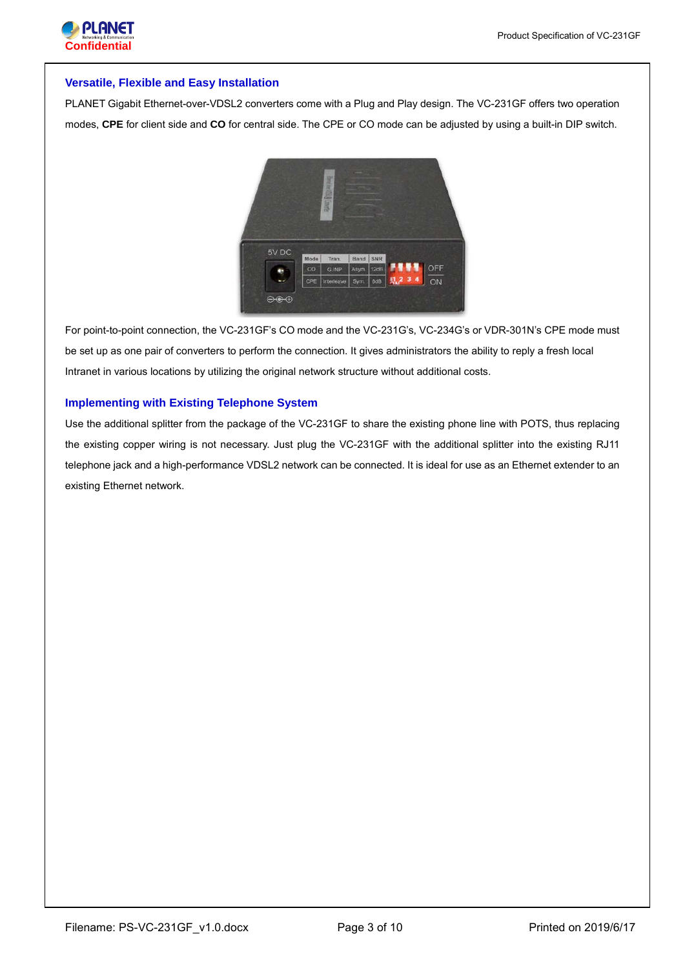

#### **Versatile, Flexible and Easy Installation**

PLANET Gigabit Ethernet-over-VDSL2 converters come with a Plug and Play design. The VC-231GF offers two operation modes, **CPE** for client side and **CO** for central side. The CPE or CO mode can be adjusted by using a built-in DIP switch.



For point-to-point connection, the VC-231GF's CO mode and the VC-231G's, VC-234G's or VDR-301N's CPE mode must be set up as one pair of converters to perform the connection. It gives administrators the ability to reply a fresh local Intranet in various locations by utilizing the original network structure without additional costs.

# **Implementing with Existing Telephone System**

Use the additional splitter from the package of the VC-231GF to share the existing phone line with POTS, thus replacing the existing copper wiring is not necessary. Just plug the VC-231GF with the additional splitter into the existing RJ11 telephone jack and a high-performance VDSL2 network can be connected. It is ideal for use as an Ethernet extender to an existing Ethernet network.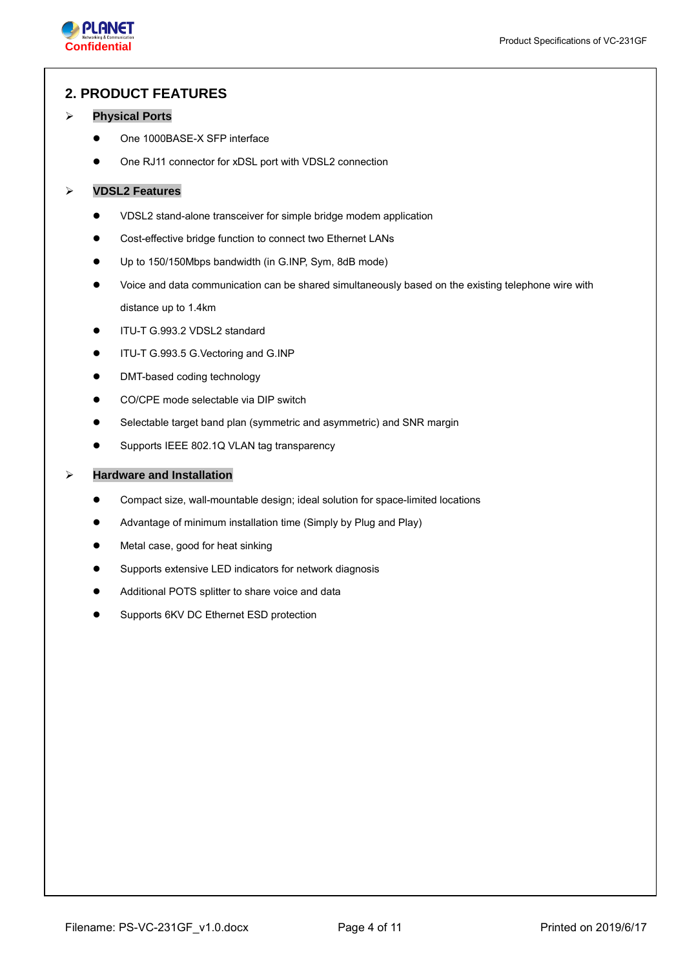

# **2. PRODUCT FEATURES**

#### **Physical Ports**

- One 1000BASE-X SFP interface
- One RJ11 connector for xDSL port with VDSL2 connection

#### **VDSL2 Features**

- VDSL2 stand-alone transceiver for simple bridge modem application
- Cost-effective bridge function to connect two Ethernet LANs
- Up to 150/150Mbps bandwidth (in G.INP, Sym, 8dB mode)
- Voice and data communication can be shared simultaneously based on the existing telephone wire with distance up to 1.4km
- ITU-T G.993.2 VDSL2 standard
- ITU-T G.993.5 G.Vectoring and G.INP
- DMT-based coding technology
- CO/CPE mode selectable via DIP switch
- Selectable target band plan (symmetric and asymmetric) and SNR margin
- Supports IEEE 802.1Q VLAN tag transparency

#### **Hardware and Installation**

- Compact size, wall-mountable design; ideal solution for space-limited locations
- Advantage of minimum installation time (Simply by Plug and Play)
- Metal case, good for heat sinking
- Supports extensive LED indicators for network diagnosis
- Additional POTS splitter to share voice and data
- Supports 6KV DC Ethernet ESD protection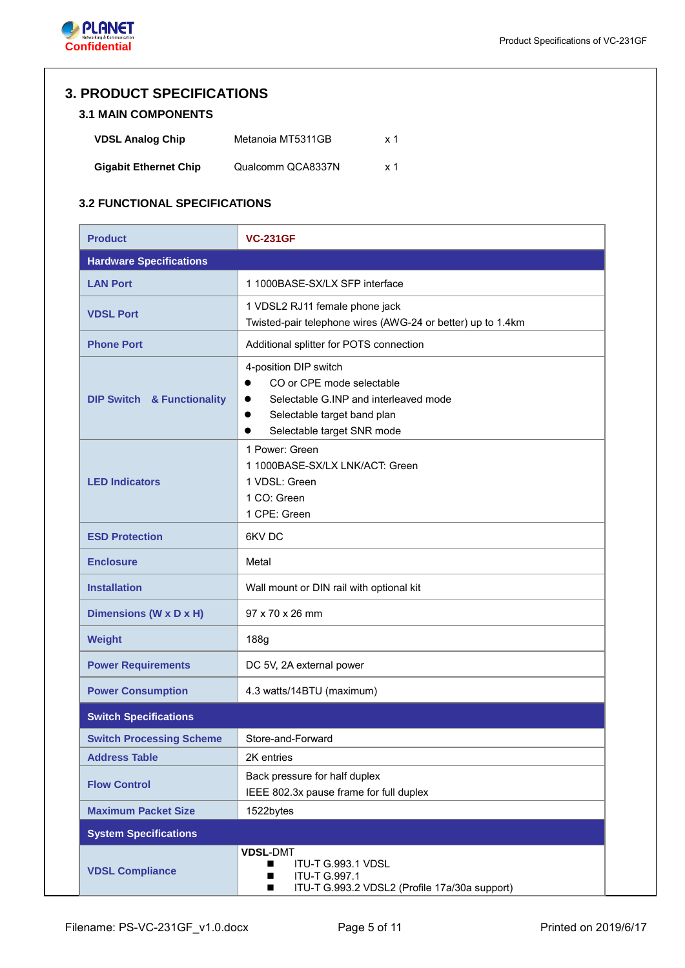

# **3. PRODUCT SPECIFICATIONS**

# **3.1 MAIN COMPONENTS**

| <b>VDSL Analog Chip</b>      | Metanoia MT5311GB | x 1 |
|------------------------------|-------------------|-----|
| <b>Gigabit Ethernet Chip</b> | Qualcomm QCA8337N | x 1 |

# **3.2 FUNCTIONAL SPECIFICATIONS**

| <b>Product</b>                        | <b>VC-231GF</b>                                                                                                                                                                                              |
|---------------------------------------|--------------------------------------------------------------------------------------------------------------------------------------------------------------------------------------------------------------|
| <b>Hardware Specifications</b>        |                                                                                                                                                                                                              |
| <b>LAN Port</b>                       | 1 1000BASE-SX/LX SFP interface                                                                                                                                                                               |
| <b>VDSL Port</b>                      | 1 VDSL2 RJ11 female phone jack<br>Twisted-pair telephone wires (AWG-24 or better) up to 1.4km                                                                                                                |
| <b>Phone Port</b>                     | Additional splitter for POTS connection                                                                                                                                                                      |
| <b>DIP Switch &amp; Functionality</b> | 4-position DIP switch<br>CO or CPF mode selectable<br>$\bullet$<br>Selectable G.INP and interleaved mode<br>$\bullet$<br>Selectable target band plan<br>$\bullet$<br>Selectable target SNR mode<br>$\bullet$ |
| <b>LED Indicators</b>                 | 1 Power: Green<br>1 1000BASE-SX/LX LNK/ACT: Green<br>1 VDSL: Green<br>1 CO: Green<br>1 CPE: Green                                                                                                            |
| <b>ESD Protection</b>                 | 6KV DC                                                                                                                                                                                                       |
| <b>Enclosure</b>                      | Metal                                                                                                                                                                                                        |
| <b>Installation</b>                   | Wall mount or DIN rail with optional kit                                                                                                                                                                     |
| Dimensions (W x D x H)                | 97 x 70 x 26 mm                                                                                                                                                                                              |
| Weight                                | 188g                                                                                                                                                                                                         |
| <b>Power Requirements</b>             | DC 5V, 2A external power                                                                                                                                                                                     |
| <b>Power Consumption</b>              | 4.3 watts/14BTU (maximum)                                                                                                                                                                                    |
| <b>Switch Specifications</b>          |                                                                                                                                                                                                              |
| <b>Switch Processing Scheme</b>       | Store-and-Forward                                                                                                                                                                                            |
| <b>Address Table</b>                  | 2K entries                                                                                                                                                                                                   |
| <b>Flow Control</b>                   | Back pressure for half duplex<br>IEEE 802.3x pause frame for full duplex                                                                                                                                     |
| <b>Maximum Packet Size</b>            | 1522bytes                                                                                                                                                                                                    |
| <b>System Specifications</b>          |                                                                                                                                                                                                              |
| <b>VDSL Compliance</b>                | <b>VDSL-DMT</b><br>ITU-T G.993.1 VDSL<br>■<br><b>ITU-T G.997.1</b><br>■<br>ITU-T G.993.2 VDSL2 (Profile 17a/30a support)<br>■                                                                                |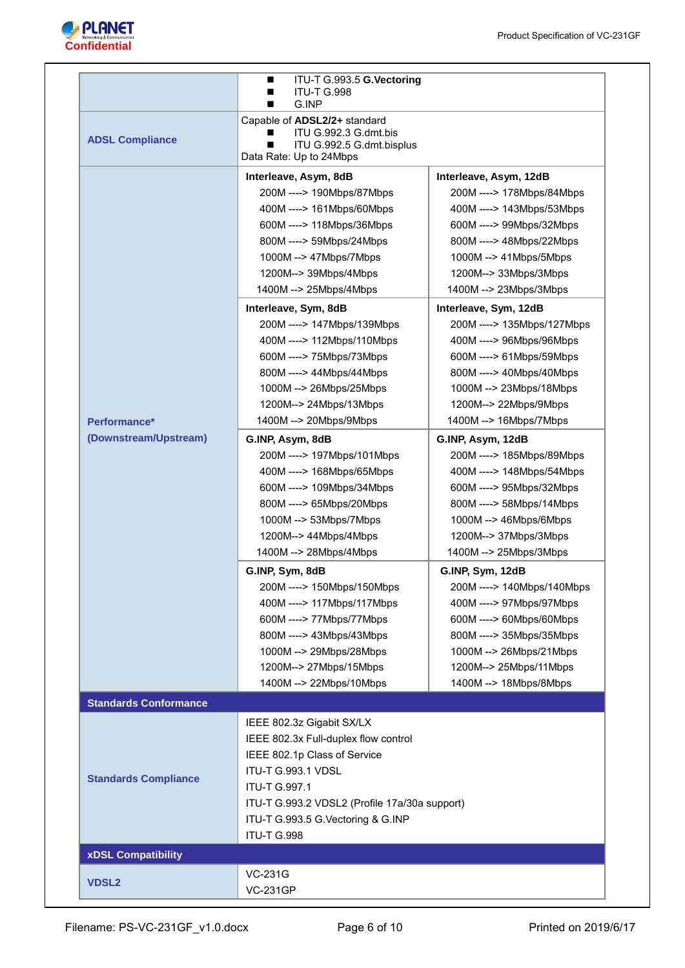

|                                       | ITU-T G.993.5 G.Vectoring<br>■<br><b>ITU-T G.998</b><br>∎<br>G.INP<br>■                                                                                                                                                                                                                                                                                                                                                                                                                                                                                                                                                                                                                                                                                                                                                                                                                      |                                                                                                                                                                                                                                                                                                                                                                                                                                                                                                                                                                                                                                                                                                                                                                                                                                                                                         |
|---------------------------------------|----------------------------------------------------------------------------------------------------------------------------------------------------------------------------------------------------------------------------------------------------------------------------------------------------------------------------------------------------------------------------------------------------------------------------------------------------------------------------------------------------------------------------------------------------------------------------------------------------------------------------------------------------------------------------------------------------------------------------------------------------------------------------------------------------------------------------------------------------------------------------------------------|-----------------------------------------------------------------------------------------------------------------------------------------------------------------------------------------------------------------------------------------------------------------------------------------------------------------------------------------------------------------------------------------------------------------------------------------------------------------------------------------------------------------------------------------------------------------------------------------------------------------------------------------------------------------------------------------------------------------------------------------------------------------------------------------------------------------------------------------------------------------------------------------|
| <b>ADSL Compliance</b>                | Capable of ADSL2/2+ standard<br>ITU G.992.3 G.dmt.bis<br>■<br>ITU G.992.5 G.dmt.bisplus<br>■<br>Data Rate: Up to 24Mbps                                                                                                                                                                                                                                                                                                                                                                                                                                                                                                                                                                                                                                                                                                                                                                      |                                                                                                                                                                                                                                                                                                                                                                                                                                                                                                                                                                                                                                                                                                                                                                                                                                                                                         |
| Performance*<br>(Downstream/Upstream) | Interleave, Asym, 8dB<br>200M ----> 190Mbps/87Mbps<br>400M ----> 161Mbps/60Mbps<br>600M ----> 118Mbps/36Mbps<br>800M ----> 59Mbps/24Mbps<br>1000M --> 47Mbps/7Mbps<br>1200M--> 39Mbps/4Mbps<br>1400M --> 25Mbps/4Mbps<br>Interleave, Sym, 8dB<br>200M ----> 147Mbps/139Mbps<br>400M ----> 112Mbps/110Mbps<br>600M ----> 75Mbps/73Mbps<br>800M ----> 44Mbps/44Mbps<br>1000M --> 26Mbps/25Mbps<br>1200M--> 24Mbps/13Mbps<br>1400M --> 20Mbps/9Mbps<br>G.INP, Asym, 8dB<br>200M ----> 197Mbps/101Mbps<br>400M ----> 168Mbps/65Mbps<br>600M ----> 109Mbps/34Mbps<br>800M ----> 65Mbps/20Mbps<br>1000M --> 53Mbps/7Mbps<br>1200M--> 44Mbps/4Mbps<br>1400M --> 28Mbps/4Mbps<br>G.INP, Sym, 8dB<br>200M ----> 150Mbps/150Mbps<br>400M ----> 117Mbps/117Mbps<br>600M ----> 77Mbps/77Mbps<br>800M ----> 43Mbps/43Mbps<br>1000M --> 29Mbps/28Mbps<br>1200M--> 27Mbps/15Mbps<br>1400M --> 22Mbps/10Mbps | Interleave, Asym, 12dB<br>200M ----> 178Mbps/84Mbps<br>400M ----> 143Mbps/53Mbps<br>600M ----> 99Mbps/32Mbps<br>800M ----> 48Mbps/22Mbps<br>1000M --> 41Mbps/5Mbps<br>1200M--> 33Mbps/3Mbps<br>1400M --> 23Mbps/3Mbps<br>Interleave, Sym, 12dB<br>200M ----> 135Mbps/127Mbps<br>400M ----> 96Mbps/96Mbps<br>600M ----> 61Mbps/59Mbps<br>800M ----> 40Mbps/40Mbps<br>1000M --> 23Mbps/18Mbps<br>1200M--> 22Mbps/9Mbps<br>1400M --> 16Mbps/7Mbps<br>G.INP, Asym, 12dB<br>200M ----> 185Mbps/89Mbps<br>400M ----> 148Mbps/54Mbps<br>600M ----> 95Mbps/32Mbps<br>800M ----> 58Mbps/14Mbps<br>1000M --> 46Mbps/6Mbps<br>1200M--> 37Mbps/3Mbps<br>1400M --> 25Mbps/3Mbps<br>G.INP, Sym, 12dB<br>200M ----> 140Mbps/140Mbps<br>400M ----> 97Mbps/97Mbps<br>600M ----> 60Mbps/60Mbps<br>800M ----> 35Mbps/35Mbps<br>1000M --> 26Mbps/21Mbps<br>1200M--> 25Mbps/11Mbps<br>1400M --> 18Mbps/8Mbps |
| <b>Standards Conformance</b>          |                                                                                                                                                                                                                                                                                                                                                                                                                                                                                                                                                                                                                                                                                                                                                                                                                                                                                              |                                                                                                                                                                                                                                                                                                                                                                                                                                                                                                                                                                                                                                                                                                                                                                                                                                                                                         |
| <b>Standards Compliance</b>           | IEEE 802.3z Gigabit SX/LX<br>IEEE 802.3x Full-duplex flow control<br>IEEE 802.1p Class of Service<br>ITU-T G.993.1 VDSL<br><b>ITU-T G.997.1</b><br>ITU-T G.993.2 VDSL2 (Profile 17a/30a support)<br>ITU-T G.993.5 G.Vectoring & G.INP<br>ITU-T G.998                                                                                                                                                                                                                                                                                                                                                                                                                                                                                                                                                                                                                                         |                                                                                                                                                                                                                                                                                                                                                                                                                                                                                                                                                                                                                                                                                                                                                                                                                                                                                         |
| <b>xDSL Compatibility</b>             |                                                                                                                                                                                                                                                                                                                                                                                                                                                                                                                                                                                                                                                                                                                                                                                                                                                                                              |                                                                                                                                                                                                                                                                                                                                                                                                                                                                                                                                                                                                                                                                                                                                                                                                                                                                                         |
| <b>VDSL2</b>                          | <b>VC-231G</b><br><b>VC-231GP</b>                                                                                                                                                                                                                                                                                                                                                                                                                                                                                                                                                                                                                                                                                                                                                                                                                                                            |                                                                                                                                                                                                                                                                                                                                                                                                                                                                                                                                                                                                                                                                                                                                                                                                                                                                                         |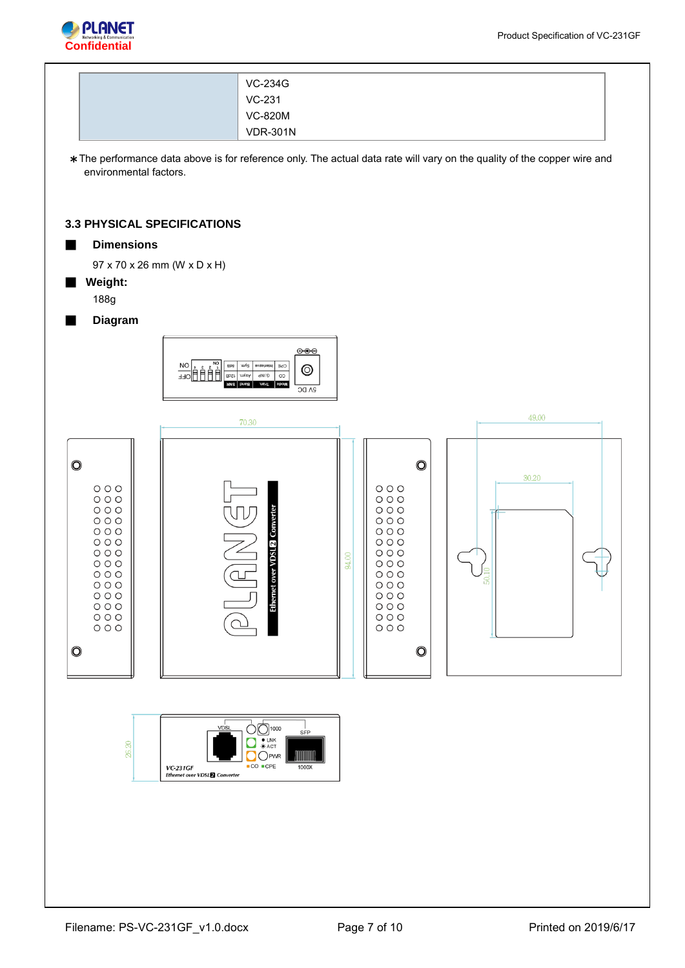

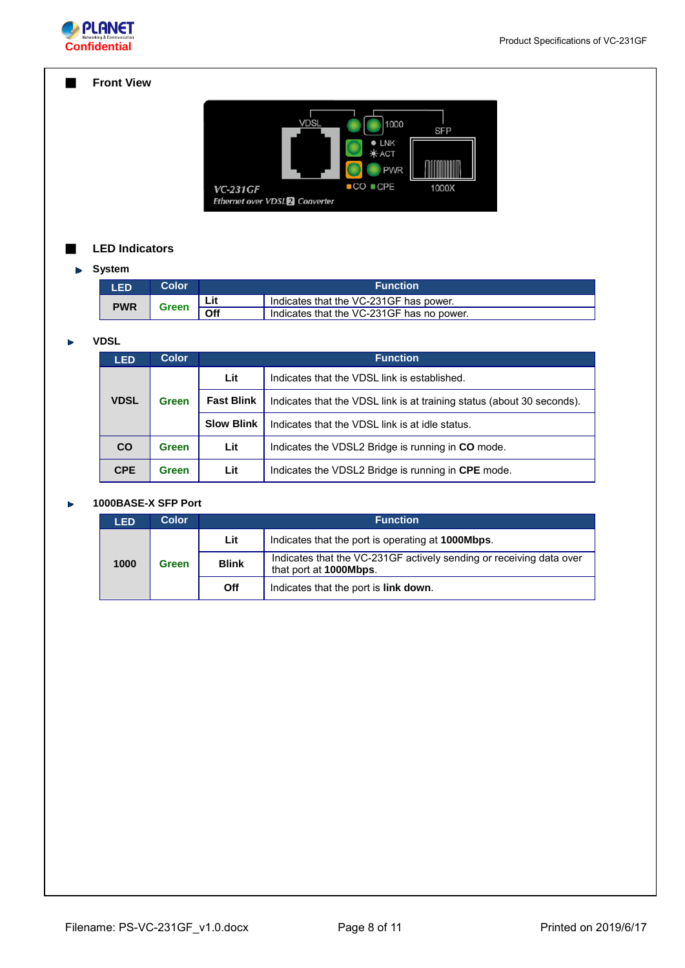

# ■ **Front View**

| <b>VDSL</b>                                                        | 1000                                                         | <b>SFP</b> |
|--------------------------------------------------------------------|--------------------------------------------------------------|------------|
|                                                                    | $\bullet$ LNK<br><b><math>*</math> ACT</b><br><b>PWR</b>     |            |
| <b>VC-231GF</b><br><b>Ethernet over VDSL<sup>2</sup> Converter</b> | $\textcolor{red}{\bullet}$ CO $\textcolor{red}{\bullet}$ CPE | 1000X      |

# ■ **LED Indicators**

# **System**

| <b>LED</b> | Color        |     | <b>Function</b>                           |
|------------|--------------|-----|-------------------------------------------|
| <b>PWR</b> | <b>Green</b> | Lit | Indicates that the VC-231GF has power.    |
|            |              | Off | Indicates that the VC-231GF has no power. |

#### **VDSL**   $\blacktriangleright$

| <b>LED</b>  | <b>Color</b>                      | <b>Function</b>   |                                                                        |  |
|-------------|-----------------------------------|-------------------|------------------------------------------------------------------------|--|
|             |                                   | Lit               | Indicates that the VDSL link is established.                           |  |
| <b>VDSL</b> | <b>Fast Blink</b><br><b>Green</b> |                   | Indicates that the VDSL link is at training status (about 30 seconds). |  |
|             |                                   | <b>Slow Blink</b> | Indicates that the VDSL link is at idle status.                        |  |
| <b>CO</b>   | <b>Green</b>                      | Lit               | Indicates the VDSL2 Bridge is running in CO mode.                      |  |
| <b>CPE</b>  | Green                             | Lit               | Indicates the VDSL2 Bridge is running in CPE mode.                     |  |

#### **1000BASE-X SFP Port**  $\blacktriangleright$

| .ED                                  | Color |            | <b>Function</b>                                                                                       |  |  |  |
|--------------------------------------|-------|------------|-------------------------------------------------------------------------------------------------------|--|--|--|
|                                      |       | Lit        | Indicates that the port is operating at <b>1000Mbps</b> .                                             |  |  |  |
| <b>Blink</b><br>1000<br><b>Green</b> |       |            | Indicates that the VC-231GF actively sending or receiving data over<br>that port at <b>1000Mbps</b> . |  |  |  |
|                                      |       | <b>Off</b> | Indicates that the port is link down.                                                                 |  |  |  |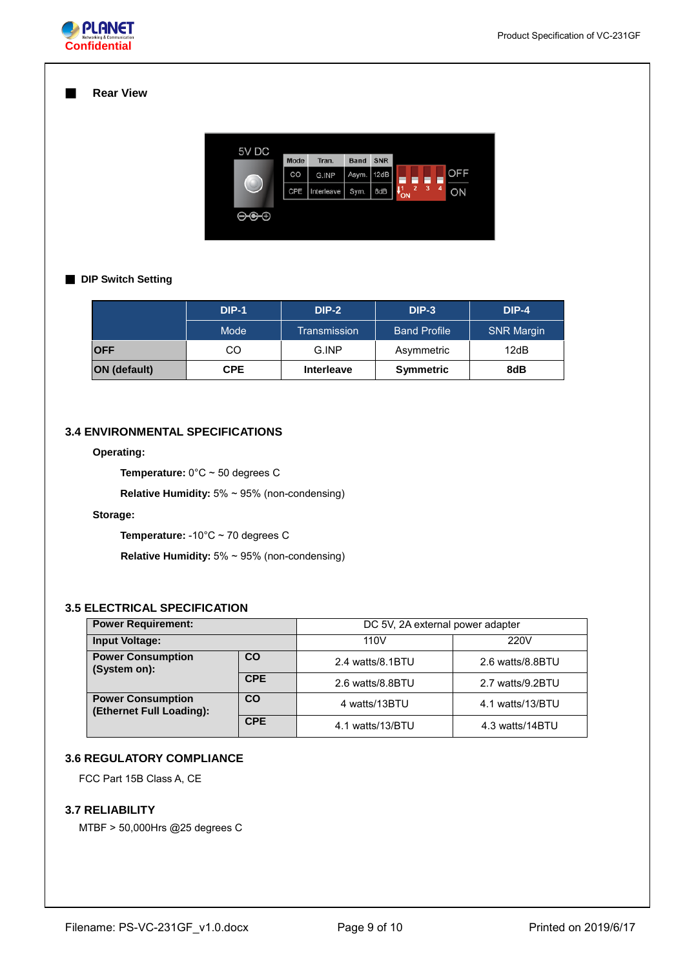

#### ■ **Rear View**

| 5V DC                      | <b>Mode</b> | Tran.      | <b>Band</b> | <b>SNR</b> |                     |                |   |   |            |
|----------------------------|-------------|------------|-------------|------------|---------------------|----------------|---|---|------------|
|                            | CO          | G.INP      | Asym.       | 12dB       |                     |                |   |   | <b>OFF</b> |
| $\rightarrow$              | CPE         | Interleave | Sym.        | 8dB        | $\mathbf{I}_{ON}^1$ | $\overline{2}$ | 3 | 4 | ON         |
| $\Theta \mathbf{C} \Theta$ |             |            |             |            |                     |                |   |   |            |

### ■ **DIP Switch Setting**

|                     | <b>DIP-1</b> | $DIP-2$           | $DIP-3$             | $DIP-4$           |
|---------------------|--------------|-------------------|---------------------|-------------------|
|                     | Mode         | Transmission      | <b>Band Profile</b> | <b>SNR Margin</b> |
| <b>OFF</b>          | CO           | G.INP             | Asymmetric          | 12dB              |
| <b>ON (default)</b> | <b>CPE</b>   | <b>Interleave</b> | <b>Symmetric</b>    | 8dB               |

# **3.4 ENVIRONMENTAL SPECIFICATIONS**

# **Operating:**

**Temperature:** 0°C ~ 50 degrees C

**Relative Humidity:** 5% ~ 95% (non-condensing)

# **Storage:**

**Temperature:** -10°C ~ 70 degrees C

**Relative Humidity:** 5% ~ 95% (non-condensing)

# **3.5 ELECTRICAL SPECIFICATION**

| <b>Power Requirement:</b>                            |            | DC 5V, 2A external power adapter |                  |  |
|------------------------------------------------------|------------|----------------------------------|------------------|--|
| <b>Input Voltage:</b>                                |            | 110V<br>220V                     |                  |  |
| <b>Power Consumption</b><br>CO<br>(System on):       |            | 2.4 watts/8.1BTU                 | 2.6 watts/8.8BTU |  |
|                                                      | <b>CPE</b> | 2.6 watts/8.8BTU                 | 2.7 watts/9.2BTU |  |
| <b>Power Consumption</b><br>(Ethernet Full Loading): | <b>CO</b>  | 4 watts/13BTU                    | 4.1 watts/13/BTU |  |
|                                                      | <b>CPE</b> | 4.1 watts/13/BTU                 | 4.3 watts/14BTU  |  |

# **3.6 REGULATORY COMPLIANCE**

FCC Part 15B Class A, CE

# **3.7 RELIABILITY**

MTBF > 50,000Hrs @25 degrees C